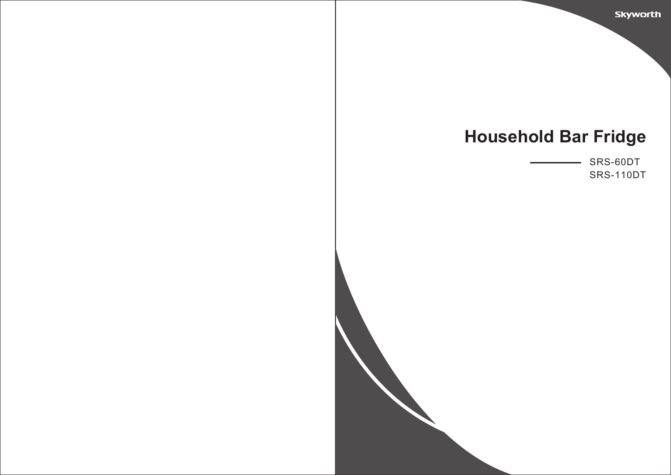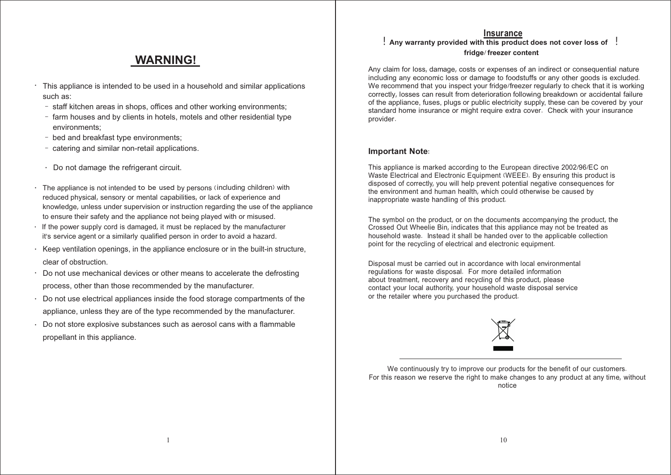#### **Insurance**

# **WARNING!**

- This appliance is intended to be used in a household and similar applications such as: ·
	- staff kitchen areas in shops, offices and other working environments;
	- farm houses and by clients in hotels, motels and other residential type environments;
	- bed and breakfast type environments;
	- catering and similar non-retail applications.
	- · Do not damage the refrigerant circuit.
- · The appliance is not intended to be used by persons (including children) with reduced physical, sensory or mental capabilities, or lack of experience and knowledge, unless under supervision or instruction regarding the use of the appliance to ensure their safety and the appliance not being played with or misused.
- $\cdot$  If the power supply cord is damaged, it must be replaced by the manufacturer it's service agent or a similarly qualified person in order to avoid a hazard.
- · Keep ventilation openings, in the appliance enclosure or in the built-in structure, clear of obstruction.
- · Do not use mechanical devices or other means to accelerate the defrosting process, other than those recommended by the manufacturer.
- · Do not use electrical appliances inside the food storage compartments of the appliance, unless they are of the type recommended by the manufacturer.
- · Do not store explosive substances such as aerosol cans with a flammable propellant in this appliance.

### ! **Any warranty provided with this product does not cover loss of** ! **fridge**/**freezer content**.

Any claim for loss, damage, costs or expenses of an indirect or consequential nature including any economic loss or damage to foodstuffs or any other goods is excluded. We recommend that you inspect your fridge/freezer regularly to check that it is working correctly, losses can result from deterioration following breakdown or accidental failure of the appliance, fuses, plugs or public electricity supply, these can be covered by your standard home insurance or might require extra cover. Check with your insurance provider.

#### **Important Note**:

This appliance is marked according to the European directive 2002/96/EC on Waste Electrical and Electronic Equipment (WEEE). By ensuring this product is disposed of correctly, you will help prevent potential negative consequences for the environment and human health, which could otherwise be caused by inappropriate waste handling of this product.

The symbol on the product, or on the documents accompanying the product, the Crossed Out Wheelie Bin, indicates that this appliance may not be treated as household waste. Instead it shall be handed over to the applicable collection point for the recycling of electrical and electronic equipment.

Disposal must be carried out in accordance with local environmental regulations for waste disposal. For more detailed information about treatment, recovery and recycling of this product, please contact your local authority, your household waste disposal service or the retailer where you purchased the product.



We continuously try to improve our products for the benefit of our customers. For this reason we reserve the right to make changes to any product at any time, without notice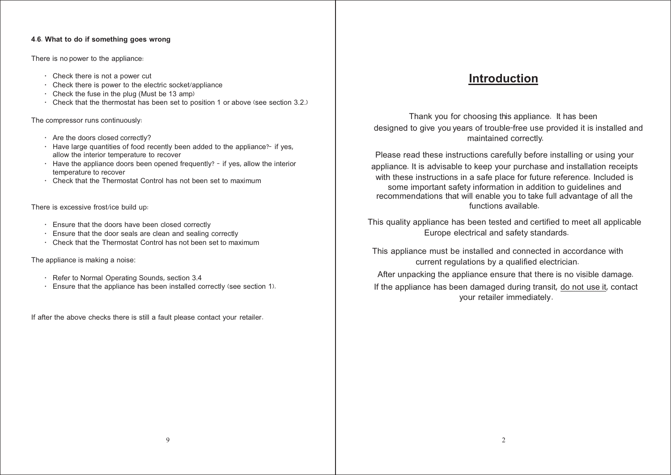#### **4**.**6**. **What to do if something goes wrong**

There is no power to the appliance:

- · Check there is not a power cut
- · Check there is power to the electric socket/appliance
- · Check the fuse in the plug (Must be 13 amp)
- · Check that the thermostat has been set to position 1 or above (see section 3.2.)

The compressor runs continuously:

- · Are the doors closed correctly?
- $\cdot$  Have large quantities of food recently been added to the appliance? if yes, allow the interior temperature to recover
- $\cdot$  Have the appliance doors been opened frequently? if yes, allow the interior temperature to recover
- · Check that the Thermostat Control has not been set to maximum

There is excessive frost/ice build up:

- · Ensure that the doors have been closed correctly
- · Ensure that the door seals are clean and sealing correctly
- · Check that the Thermostat Control has not been set to maximum

The appliance is making a noise:

- · Refer to Normal Operating Sounds, section 3.4
- · Ensure that the appliance has been installed correctly (see section 1).

If after the above checks there is still a fault please contact your retailer.

# **Introduction**

Thank you for choosing this appliance. It has been designed to give you years of trouble-free use provided it is installed and maintained correctly.

Please read these instructions carefully before installing or using your appliance. It is advisable to keep your purchase and installation receipts with these instructions in a safe place for future reference. Included is some important safety information in addition to guidelines and recommendations that will enable you to take full advantage of all the functions available.

This quality appliance has been tested and certified to meet all applicable Europe electrical and safety standards.

This appliance must be installed and connected in accordance with current regulations by a qualified electrician.

After unpacking the appliance ensure that there is no visible damage. If the appliance has been damaged during transit, do not use it, contact your retailer immediately.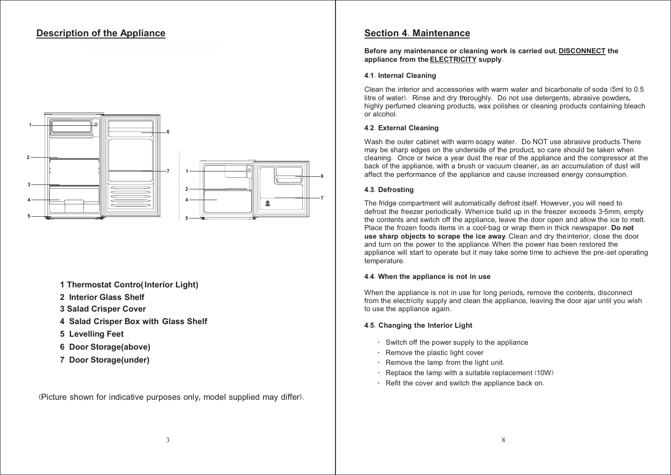# **Description of the Appliance**



- **1 Thermostat Contro(Interior Light)**
- **2 Interior Glass Shelf**
- **3 Salad Crisper Cover**
- **4 Salad Crisper Box with Glass Shelf**
- **5 Levelling Feet**
- **6 Door Storage(above)**
- **7 Door Storage(under)**

(Picture shown for indicative purposes only, model supplied may differ).

# **Section 4**. **Maintenance**

**Before any maintenance or cleaning work is carried out**, **DISCONNECT the appliance from the ELECTRICITY supply**.

### **4**.**1**. **Internal Cleaning**

Clean the interior and accessories with warm water and bicarbonate of soda (5ml to 0.5 litre of water). Rinse and dry thoroughly. Do not use detergents, abrasive powders, highly perfumed cleaning products, wax polishes or cleaning products containing bleach or alcohol.

### **4**.**2**. **External Cleaning**

Wash the outer cabinet with warm soapy water. Do NOT use abrasive products. There may be sharp edges on the underside of the product, so care should be taken when cleaning. Once or twice a year dust the rear of the appliance and the compressor at the back of the appliance, with a brush or vacuum cleaner, as an accumulation of dust will affect the performance of the appliance and cause increased energy consumption.

### **4**.**3**. **Defrosting**

The fridge compartment will automatically defrost itself. However, you will need to defrost the freezer periodically. Whenice build up in the freezer exceeds 3-5mm, empty the contents and switch off the appliance, leave the door open and allow the ice to melt. Place the frozen foods items in a cool-bag or wrap them in thick newspaper. **Do not use sharp objects to scrape the ice away**. Clean and dry theinterior, close the door and turn on the power to the appliance. When the power has been restored the appliance will start to operate but it may take some time to achieve the pre-set operating temperature.

# **4**.**4**. **When the appliance is not in use**

When the appliance is not in use for long periods, remove the contents, disconnect from the electricity supply and clean the appliance, leaving the door ajar until you wish to use the appliance again.

# **4**.**5**. **Changing the Interior Light**

- · Switch off the power supply to the appliance
- · Remove the plastic light cover
- · Remove the lamp from the light unit.
- · Replace the lamp with a suitable replacement (10W)
- · Refit the cover and switch the appliance back on.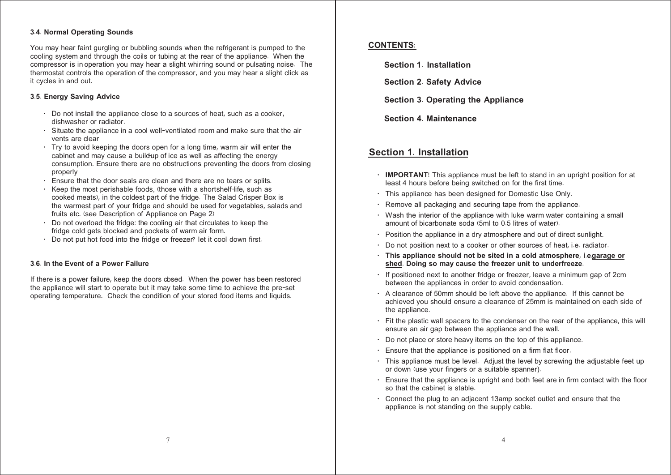#### **3**.**4**. **Normal Operating Sounds**

You may hear faint gurgling or bubbling sounds when the refrigerant is pumped to the cooling system and through the coils or tubing at the rear of the appliance. When the compressor is in operation you may hear a slight whirring sound or pulsating noise. The thermostat controls the operation of the compressor, and you may hear a slight click as it cycles in and out.

#### **3**.**5**. **Energy Saving Advice**

- $\cdot$  Do not install the appliance close to a sources of heat, such as a cooker, dishwasher or radiator.
- · Situate the appliance in a cool well-ventilated room and make sure that the air vents are clear
- $\cdot$  Try to avoid keeping the doors open for a long time, warm air will enter the cabinet and may cause a build-up of ice as well as affecting the energy consumption. Ensure there are no obstructions preventing the doors from closing properly
- · Ensure that the door seals are clean and there are no tears or splits.
- Keep the most perishable foods, (those with a short shelf-life, such as cooked meats), in the coldest part of the fridge. The Salad Crisper Box is the warmest part of your fridge and should be used for vegetables, salads and fruits etc. (see Description of Appliance on Page 2)
- Do not overload the fridge: the cooling air that circulates to keep the fridge cold gets blocked and pockets of warm air form.
- Do not put hot food into the fridge or freezer? let it cool down first.

#### **3**.**6**. **In the Event of a Power Failure**

If there is a power failure, keep the doors cbsed. When the power has been restored the appliance will start to operate but it may take some time to achieve the pre-set operating temperature. Check the condition of your stored food items and liquids.

# **CONTENTS**:

**Section 1**. **Installation**

**Section 2**. **Safety Advice**

**Section 3**. **Operating the Appliance**

**Section 4**. **Maintenance**

# **Section 1**. **Installation**

- · **IMPORTANT**! This appliance must be left to stand in an upright position for at least 4 hours before being switched on for the first time.
- · This appliance has been designed for Domestic Use Only.
- · Remove all packaging and securing tape from the appliance.
- · Wash the interior of the appliance with luke warm water containing a small amount of bicarbonate soda (5ml to 0.5 litres of water).
- · Position the appliance in a dry atmosphere and out of direct sunlight.
- · Do not position next to a cooker or other sources of heat, i.e. radiator.
- · **This appliance should not be sited in a cold atmosphere**, **i**.**e**.**garage or shed**. **Doing so may cause the freezer unit to underfreeze**.
- · If positioned next to another fridge or freezer, leave a minimum gap of 2cm between the appliances in order to avoid condensation.
- · A clearance of 50mm should be left above the appliance. If this cannot be achieved you should ensure a clearance of 25mm is maintained on each side of the appliance.
- · Fit the plastic wall spacers to the condenser on the rear of the appliance, this will ensure an air gap between the appliance and the wall.
- · Do not place or store heavy items on the top of this appliance.
- Ensure that the appliance is positioned on a firm flat floor.
- · This appliance must be level. Adjust the level by screwing the adjustable feet up or down (use your fingers or a suitable spanner).
- Ensure that the appliance is upright and both feet are in firm contact with the floor so that the cabinet is stable.
- · Connect the plug to an adjacent 13amp socket outlet and ensure that the appliance is not standing on the supply cable.